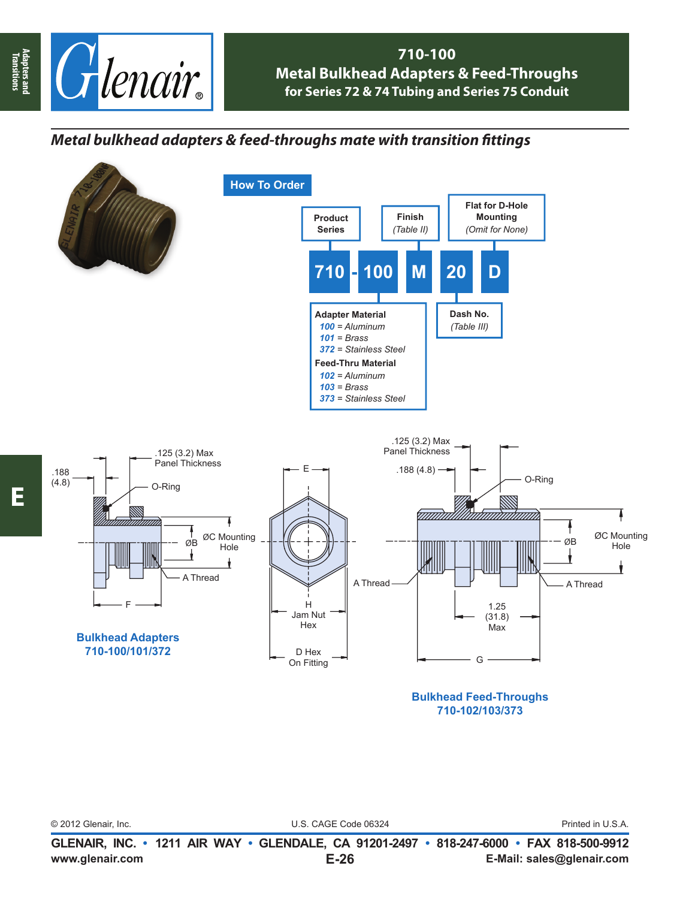

## **710-100 Metal Bulkhead Adapters & Feed-Throughs for Series 72 & 74 Tubing and Series 75 Conduit**

## *Metal bulkhead adapters & feed-throughs mate with transition fi ttings*



© 2012 Glenair, Inc. U.S. CAGE Code 06324 Printed in U.S.A.

**Adapters and Transitions**

Adapters and<br>Transitions